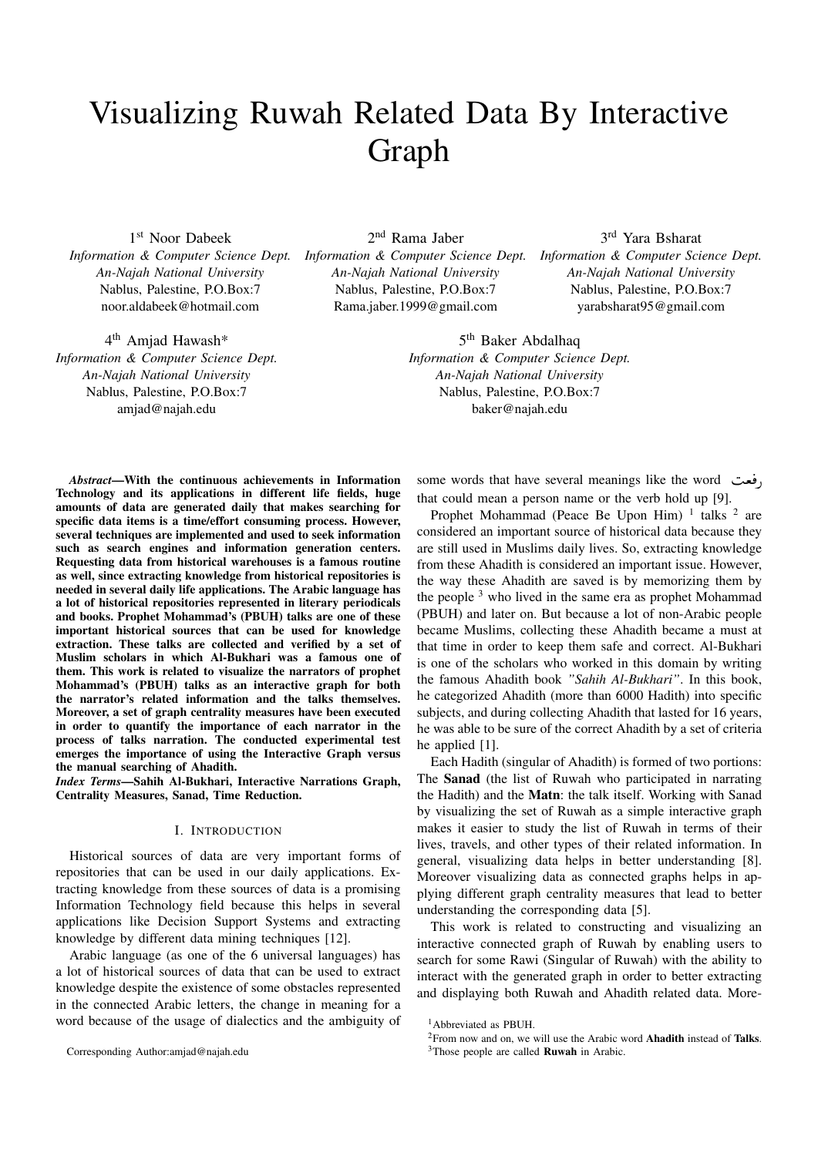# Visualizing Ruwah Related Data By Interactive Graph

1 st Noor Dabeek *Information & Computer Science Dept. An-Najah National University* Nablus, Palestine, P.O.Box:7 noor.aldabeek@hotmail.com

4<sup>th</sup> Amjad Hawash\* *Information & Computer Science Dept. An-Najah National University* Nablus, Palestine, P.O.Box:7 amjad@najah.edu

2 nd Rama Jaber *An-Najah National University* Nablus, Palestine, P.O.Box:7 Rama.jaber.1999@gmail.com

*Information & Computer Science Dept. Information & Computer Science Dept.* 3 rd Yara Bsharat *An-Najah National University* Nablus, Palestine, P.O.Box:7 yarabsharat95@gmail.com

> 5<sup>th</sup> Baker Abdalhaq *Information & Computer Science Dept. An-Najah National University* Nablus, Palestine, P.O.Box:7 baker@najah.edu

*Abstract*—With the continuous achievements in Information Technology and its applications in different life fields, huge amounts of data are generated daily that makes searching for specific data items is a time/effort consuming process. However, several techniques are implemented and used to seek information such as search engines and information generation centers. Requesting data from historical warehouses is a famous routine as well, since extracting knowledge from historical repositories is needed in several daily life applications. The Arabic language has a lot of historical repositories represented in literary periodicals and books. Prophet Mohammad's (PBUH) talks are one of these important historical sources that can be used for knowledge extraction. These talks are collected and verified by a set of Muslim scholars in which Al-Bukhari was a famous one of them. This work is related to visualize the narrators of prophet Mohammad's (PBUH) talks as an interactive graph for both the narrator's related information and the talks themselves. Moreover, a set of graph centrality measures have been executed in order to quantify the importance of each narrator in the process of talks narration. The conducted experimental test emerges the importance of using the Interactive Graph versus the manual searching of Ahadith.

*Index Terms*—Sahih Al-Bukhari, Interactive Narrations Graph, Centrality Measures, Sanad, Time Reduction.

## I. INTRODUCTION

Historical sources of data are very important forms of repositories that can be used in our daily applications. Extracting knowledge from these sources of data is a promising Information Technology field because this helps in several applications like Decision Support Systems and extracting knowledge by different data mining techniques [12].

Arabic language (as one of the 6 universal languages) has a lot of historical sources of data that can be used to extract knowledge despite the existence of some obstacles represented in the connected Arabic letters, the change in meaning for a word because of the usage of dialectics and the ambiguity of

some words that have several meanings like the word  $\overline{a}$ j that could mean a person name or the verb hold up [9].

Prophet Mohammad (Peace Be Upon Him)  $1$  talks  $2$  are considered an important source of historical data because they are still used in Muslims daily lives. So, extracting knowledge from these Ahadith is considered an important issue. However, the way these Ahadith are saved is by memorizing them by the people  $3$  who lived in the same era as prophet Mohammad (PBUH) and later on. But because a lot of non-Arabic people became Muslims, collecting these Ahadith became a must at that time in order to keep them safe and correct. Al-Bukhari is one of the scholars who worked in this domain by writing the famous Ahadith book *"Sahih Al-Bukhari"*. In this book, he categorized Ahadith (more than 6000 Hadith) into specific subjects, and during collecting Ahadith that lasted for 16 years, he was able to be sure of the correct Ahadith by a set of criteria he applied [1].

Each Hadith (singular of Ahadith) is formed of two portions: The Sanad (the list of Ruwah who participated in narrating the Hadith) and the Matn: the talk itself. Working with Sanad by visualizing the set of Ruwah as a simple interactive graph makes it easier to study the list of Ruwah in terms of their lives, travels, and other types of their related information. In general, visualizing data helps in better understanding [8]. Moreover visualizing data as connected graphs helps in applying different graph centrality measures that lead to better understanding the corresponding data [5].

This work is related to constructing and visualizing an interactive connected graph of Ruwah by enabling users to search for some Rawi (Singular of Ruwah) with the ability to interact with the generated graph in order to better extracting and displaying both Ruwah and Ahadith related data. More-

Corresponding Author:amjad@najah.edu

<sup>1</sup>Abbreviated as PBUH.

 $2$ From now and on, we will use the Arabic word **Ahadith** instead of **Talks**.

<sup>&</sup>lt;sup>3</sup>Those people are called **Ruwah** in Arabic.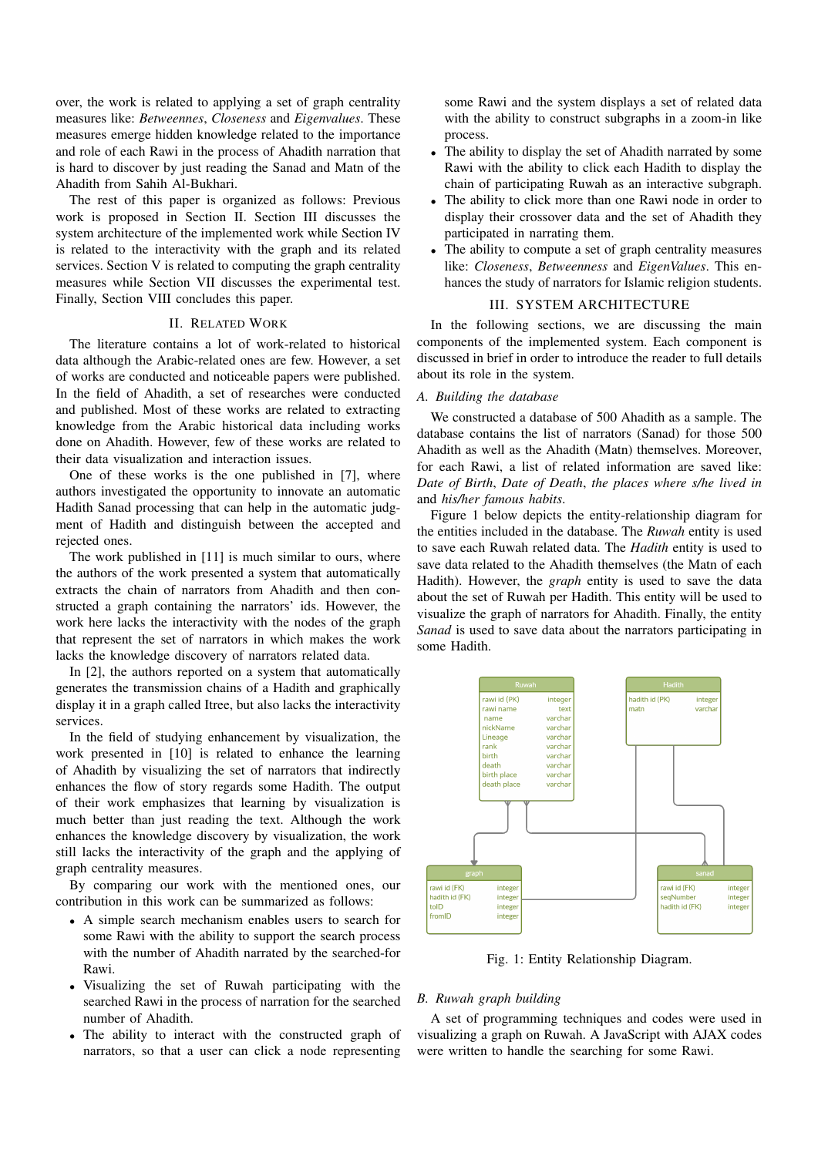over, the work is related to applying a set of graph centrality measures like: *Betweennes*, *Closeness* and *Eigenvalues*. These measures emerge hidden knowledge related to the importance and role of each Rawi in the process of Ahadith narration that is hard to discover by just reading the Sanad and Matn of the Ahadith from Sahih Al-Bukhari.

The rest of this paper is organized as follows: Previous work is proposed in Section II. Section III discusses the system architecture of the implemented work while Section IV is related to the interactivity with the graph and its related services. Section V is related to computing the graph centrality measures while Section VII discusses the experimental test. Finally, Section VIII concludes this paper.

## II. RELATED WORK

The literature contains a lot of work-related to historical data although the Arabic-related ones are few. However, a set of works are conducted and noticeable papers were published. In the field of Ahadith, a set of researches were conducted and published. Most of these works are related to extracting knowledge from the Arabic historical data including works done on Ahadith. However, few of these works are related to their data visualization and interaction issues.

One of these works is the one published in [7], where authors investigated the opportunity to innovate an automatic Hadith Sanad processing that can help in the automatic judgment of Hadith and distinguish between the accepted and rejected ones.

The work published in [11] is much similar to ours, where the authors of the work presented a system that automatically extracts the chain of narrators from Ahadith and then constructed a graph containing the narrators' ids. However, the work here lacks the interactivity with the nodes of the graph that represent the set of narrators in which makes the work lacks the knowledge discovery of narrators related data.

In [2], the authors reported on a system that automatically generates the transmission chains of a Hadith and graphically display it in a graph called Itree, but also lacks the interactivity services.

In the field of studying enhancement by visualization, the work presented in [10] is related to enhance the learning of Ahadith by visualizing the set of narrators that indirectly enhances the flow of story regards some Hadith. The output of their work emphasizes that learning by visualization is much better than just reading the text. Although the work enhances the knowledge discovery by visualization, the work still lacks the interactivity of the graph and the applying of graph centrality measures.

By comparing our work with the mentioned ones, our contribution in this work can be summarized as follows:

- A simple search mechanism enables users to search for some Rawi with the ability to support the search process with the number of Ahadith narrated by the searched-for Rawi.
- Visualizing the set of Ruwah participating with the searched Rawi in the process of narration for the searched number of Ahadith.
- The ability to interact with the constructed graph of narrators, so that a user can click a node representing

some Rawi and the system displays a set of related data with the ability to construct subgraphs in a zoom-in like process.

- The ability to display the set of Ahadith narrated by some Rawi with the ability to click each Hadith to display the chain of participating Ruwah as an interactive subgraph.
- The ability to click more than one Rawi node in order to display their crossover data and the set of Ahadith they participated in narrating them.
- The ability to compute a set of graph centrality measures like: *Closeness*, *Betweenness* and *EigenValues*. This enhances the study of narrators for Islamic religion students.

## III. SYSTEM ARCHITECTURE

In the following sections, we are discussing the main components of the implemented system. Each component is discussed in brief in order to introduce the reader to full details about its role in the system.

## *A. Building the database*

We constructed a database of 500 Ahadith as a sample. The database contains the list of narrators (Sanad) for those 500 Ahadith as well as the Ahadith (Matn) themselves. Moreover, for each Rawi, a list of related information are saved like: *Date of Birth*, *Date of Death*, *the places where s/he lived in* and *his/her famous habits*.

Figure 1 below depicts the entity-relationship diagram for the entities included in the database. The *Ruwah* entity is used to save each Ruwah related data. The *Hadith* entity is used to save data related to the Ahadith themselves (the Matn of each Hadith). However, the *graph* entity is used to save the data about the set of Ruwah per Hadith. This entity will be used to visualize the graph of narrators for Ahadith. Finally, the entity *Sanad* is used to save data about the narrators participating in some Hadith.



Fig. 1: Entity Relationship Diagram.

## *B. Ruwah graph building*

A set of programming techniques and codes were used in visualizing a graph on Ruwah. A JavaScript with AJAX codes were written to handle the searching for some Rawi.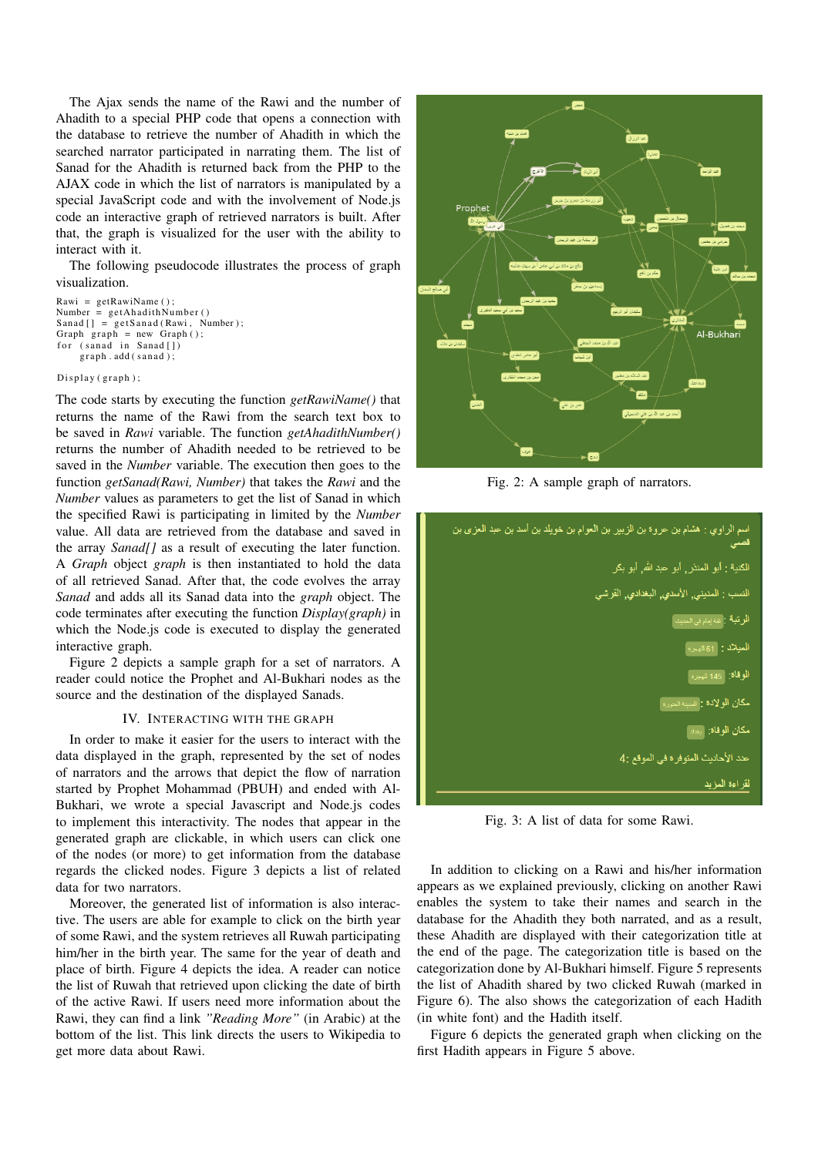The Ajax sends the name of the Rawi and the number of Ahadith to a special PHP code that opens a connection with the database to retrieve the number of Ahadith in which the searched narrator participated in narrating them. The list of Sanad for the Ahadith is returned back from the PHP to the AJAX code in which the list of narrators is manipulated by a special JavaScript code and with the involvement of Node.js code an interactive graph of retrieved narrators is built. After that, the graph is visualized for the user with the ability to interact with it.

The following pseudocode illustrates the process of graph visualization.

```
Rawi = getRawiName();
Number = getA hadithNumber()Sanad [ ] = getSanad ( Rawi, Number);Graph graph = new Graph ();
    (sanad in Sanad [])
    graph.add(sanad);
```
#### Display (graph);

The code starts by executing the function *getRawiName()* that returns the name of the Rawi from the search text box to be saved in *Rawi* variable. The function *getAhadithNumber()* returns the number of Ahadith needed to be retrieved to be saved in the *Number* variable. The execution then goes to the function *getSanad(Rawi, Number)* that takes the *Rawi* and the *Number* values as parameters to get the list of Sanad in which the specified Rawi is participating in limited by the *Number* value. All data are retrieved from the database and saved in the array *Sanad[]* as a result of executing the later function. A *Graph* object *graph* is then instantiated to hold the data of all retrieved Sanad. After that, the code evolves the array *Sanad* and adds all its Sanad data into the *graph* object. The code terminates after executing the function *Display(graph)* in which the Node.js code is executed to display the generated interactive graph.

Figure 2 depicts a sample graph for a set of narrators. A reader could notice the Prophet and Al-Bukhari nodes as the source and the destination of the displayed Sanads.

#### IV. INTERACTING WITH THE GRAPH

In order to make it easier for the users to interact with the data displayed in the graph, represented by the set of nodes of narrators and the arrows that depict the flow of narration started by Prophet Mohammad (PBUH) and ended with Al-Bukhari, we wrote a special Javascript and Node.js codes to implement this interactivity. The nodes that appear in the generated graph are clickable, in which users can click one of the nodes (or more) to get information from the database regards the clicked nodes. Figure 3 depicts a list of related data for two narrators.

Moreover, the generated list of information is also interactive. The users are able for example to click on the birth year of some Rawi, and the system retrieves all Ruwah participating him/her in the birth year. The same for the year of death and place of birth. Figure 4 depicts the idea. A reader can notice the list of Ruwah that retrieved upon clicking the date of birth of the active Rawi. If users need more information about the Rawi, they can find a link *"Reading More"* (in Arabic) at the bottom of the list. This link directs the users to Wikipedia to get more data about Rawi.



Fig. 2: A sample graph of narrators.



Fig. 3: A list of data for some Rawi.

In addition to clicking on a Rawi and his/her information appears as we explained previously, clicking on another Rawi enables the system to take their names and search in the database for the Ahadith they both narrated, and as a result, these Ahadith are displayed with their categorization title at the end of the page. The categorization title is based on the categorization done by Al-Bukhari himself. Figure 5 represents the list of Ahadith shared by two clicked Ruwah (marked in Figure 6). The also shows the categorization of each Hadith (in white font) and the Hadith itself.

Figure 6 depicts the generated graph when clicking on the first Hadith appears in Figure 5 above.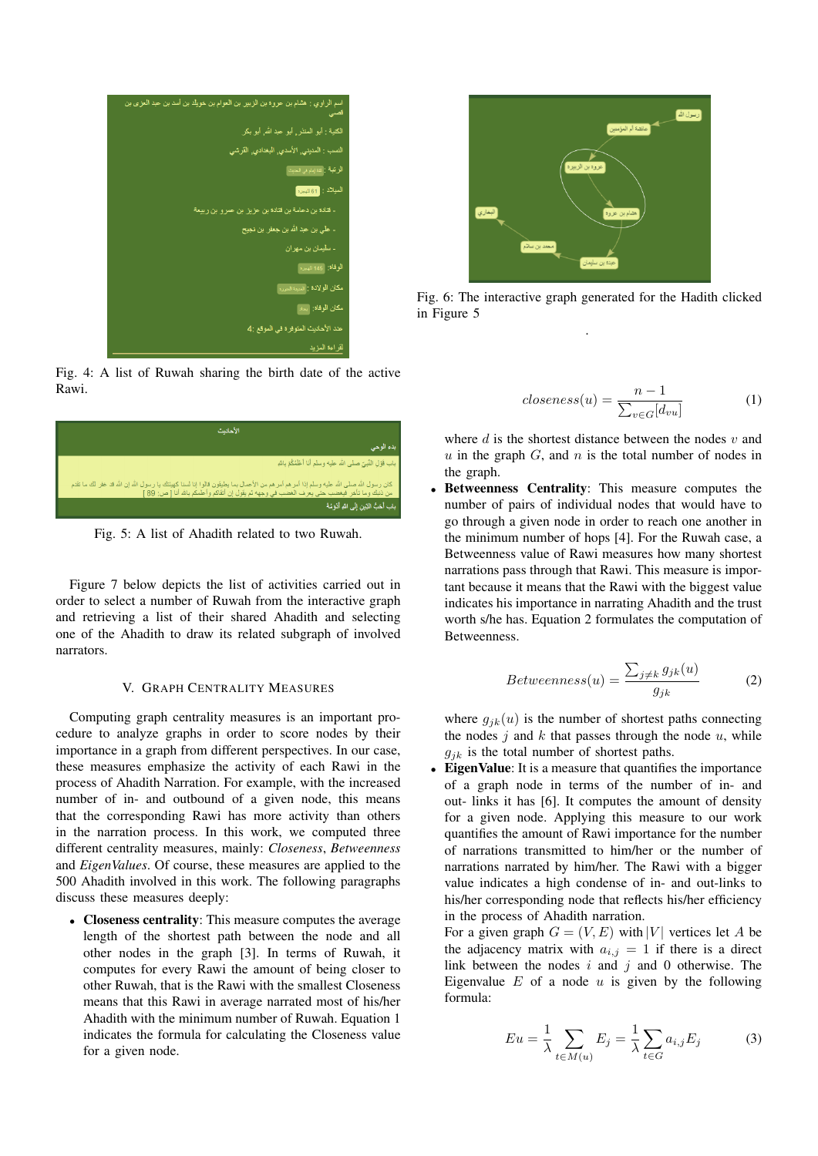

Fig. 4: A list of Ruwah sharing the birth date of the active Rawi.



Fig. 5: A list of Ahadith related to two Ruwah.

Figure 7 below depicts the list of activities carried out in order to select a number of Ruwah from the interactive graph and retrieving a list of their shared Ahadith and selecting one of the Ahadith to draw its related subgraph of involved narrators.

## V. GRAPH CENTRALITY MEASURES

Computing graph centrality measures is an important procedure to analyze graphs in order to score nodes by their importance in a graph from different perspectives. In our case, these measures emphasize the activity of each Rawi in the process of Ahadith Narration. For example, with the increased number of in- and outbound of a given node, this means that the corresponding Rawi has more activity than others in the narration process. In this work, we computed three different centrality measures, mainly: *Closeness*, *Betweenness* and *EigenValues*. Of course, these measures are applied to the 500 Ahadith involved in this work. The following paragraphs discuss these measures deeply:

• Closeness centrality: This measure computes the average length of the shortest path between the node and all other nodes in the graph [3]. In terms of Ruwah, it computes for every Rawi the amount of being closer to other Ruwah, that is the Rawi with the smallest Closeness means that this Rawi in average narrated most of his/her Ahadith with the minimum number of Ruwah. Equation 1 indicates the formula for calculating the Closeness value for a given node.



Fig. 6: The interactive graph generated for the Hadith clicked in Figure 5 .

$$
closeness(u) = \frac{n-1}{\sum_{v \in G} [d_{vu}]} \tag{1}
$$

where  $d$  is the shortest distance between the nodes  $v$  and  $u$  in the graph  $G$ , and  $n$  is the total number of nodes in the graph.

Betweenness Centrality: This measure computes the number of pairs of individual nodes that would have to go through a given node in order to reach one another in the minimum number of hops [4]. For the Ruwah case, a Betweenness value of Rawi measures how many shortest narrations pass through that Rawi. This measure is important because it means that the Rawi with the biggest value indicates his importance in narrating Ahadith and the trust worth s/he has. Equation 2 formulates the computation of Betweenness.

$$
Betweenness(u) = \frac{\sum_{j \neq k} g_{jk}(u)}{g_{jk}} \tag{2}
$$

where  $g_{ik}(u)$  is the number of shortest paths connecting the nodes  $j$  and  $k$  that passes through the node  $u$ , while  $g_{jk}$  is the total number of shortest paths.

• Eigen Value: It is a measure that quantifies the importance of a graph node in terms of the number of in- and out- links it has [6]. It computes the amount of density for a given node. Applying this measure to our work quantifies the amount of Rawi importance for the number of narrations transmitted to him/her or the number of narrations narrated by him/her. The Rawi with a bigger value indicates a high condense of in- and out-links to his/her corresponding node that reflects his/her efficiency in the process of Ahadith narration.

For a given graph  $G = (V, E)$  with |V| vertices let A be the adjacency matrix with  $a_{i,j} = 1$  if there is a direct link between the nodes  $i$  and  $j$  and 0 otherwise. The Eigenvalue  $E$  of a node  $u$  is given by the following formula:

$$
Eu = \frac{1}{\lambda} \sum_{t \in M(u)} E_j = \frac{1}{\lambda} \sum_{t \in G} a_{i,j} E_j \tag{3}
$$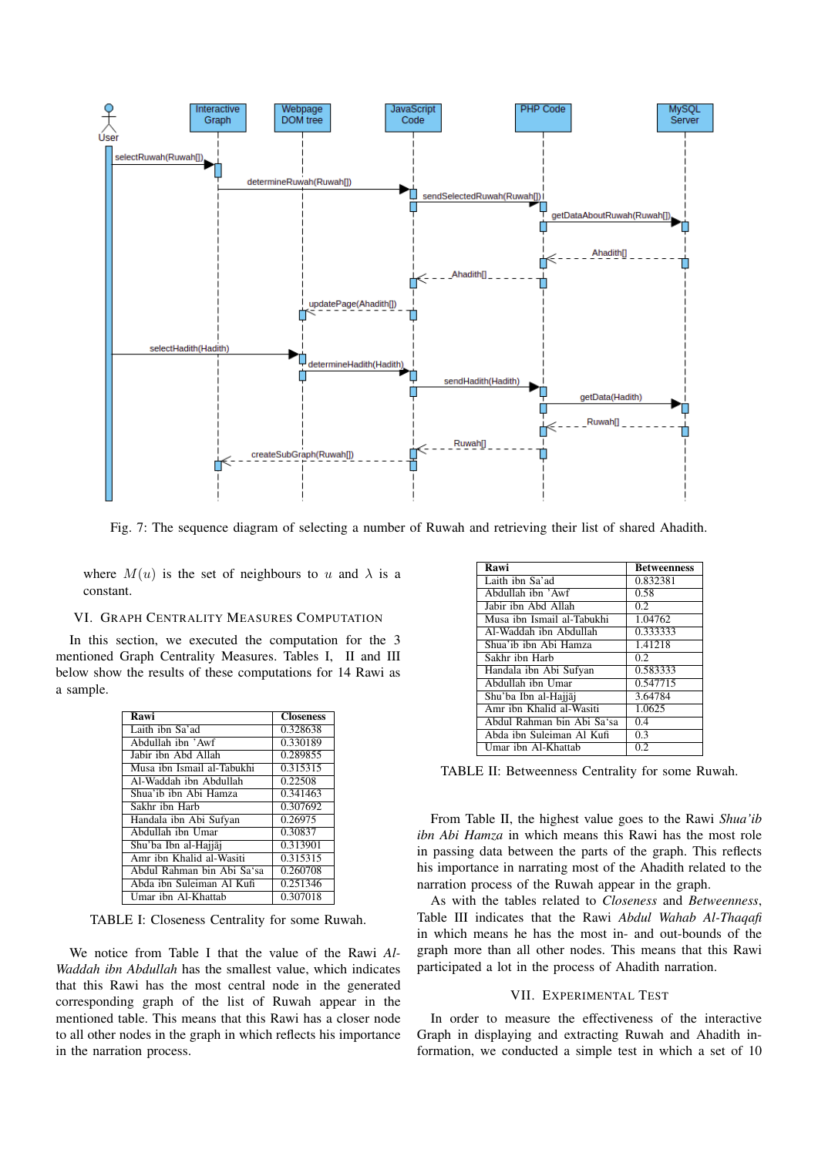

Fig. 7: The sequence diagram of selecting a number of Ruwah and retrieving their list of shared Ahadith.

where  $M(u)$  is the set of neighbours to u and  $\lambda$  is a constant.

## VI. GRAPH CENTRALITY MEASURES COMPUTATION

In this section, we executed the computation for the 3 mentioned Graph Centrality Measures. Tables I, II and III below show the results of these computations for 14 Rawi as a sample.

| Rawi                       | <b>Closeness</b> |
|----------------------------|------------------|
| Laith ibn Sa'ad            | 0.328638         |
| Abdullah ibn 'Awf          | 0.330189         |
| Jabir ibn Abd Allah        | 0.289855         |
| Musa ibn Ismail al-Tabukhi | 0.315315         |
| Al-Waddah ibn Abdullah     | 0.22508          |
| Shua'ib ibn Abi Hamza      | 0.341463         |
| Sakhr ibn Harb             | 0.307692         |
| Handala ibn Abi Sufyan     | 0.26975          |
| Abdullah ibn Umar          | 0.30837          |
| Shu'ba Ibn al-Hajjāj       | 0.313901         |
| Amr ibn Khalid al-Wasiti   | 0.315315         |
| Abdul Rahman bin Abi Sa'sa | 0.260708         |
| Abda ibn Suleiman Al Kufi  | 0.251346         |
| Umar ibn Al-Khattab        | 0.307018         |

TABLE I: Closeness Centrality for some Ruwah.

We notice from Table I that the value of the Rawi *Al-Waddah ibn Abdullah* has the smallest value, which indicates that this Rawi has the most central node in the generated corresponding graph of the list of Ruwah appear in the mentioned table. This means that this Rawi has a closer node to all other nodes in the graph in which reflects his importance in the narration process.

| Rawi                       | <b>Betweenness</b> |
|----------------------------|--------------------|
| Laith ibn Sa'ad            | 0.832381           |
| Abdullah ibn 'Awf          | 0.58               |
| Jabir ibn Abd Allah        | 0.2                |
| Musa ibn Ismail al-Tabukhi | 1.04762            |
| Al-Waddah ibn Abdullah     | 0.333333           |
| Shua'ib ibn Abi Hamza      | 1.41218            |
| Sakhr ibn Harb             | 0.2                |
| Handala ibn Abi Sufyan     | 0.583333           |
| Abdullah ibn Umar          | 0.547715           |
| Shu'ba Ibn al-Hajjāj       | 3.64784            |
| Amr ibn Khalid al-Wasiti   | 1.0625             |
| Abdul Rahman bin Abi Sa'sa | 0.4                |
| Abda ibn Suleiman Al Kufi  | 0.3                |
| Umar ibn Al-Khattab        | 0.2                |

TABLE II: Betweenness Centrality for some Ruwah.

From Table II, the highest value goes to the Rawi *Shua'ib ibn Abi Hamza* in which means this Rawi has the most role in passing data between the parts of the graph. This reflects his importance in narrating most of the Ahadith related to the narration process of the Ruwah appear in the graph.

As with the tables related to *Closeness* and *Betweenness*, Table III indicates that the Rawi *Abdul Wahab Al-Thaqafi* in which means he has the most in- and out-bounds of the graph more than all other nodes. This means that this Rawi participated a lot in the process of Ahadith narration.

### VII. EXPERIMENTAL TEST

In order to measure the effectiveness of the interactive Graph in displaying and extracting Ruwah and Ahadith information, we conducted a simple test in which a set of 10